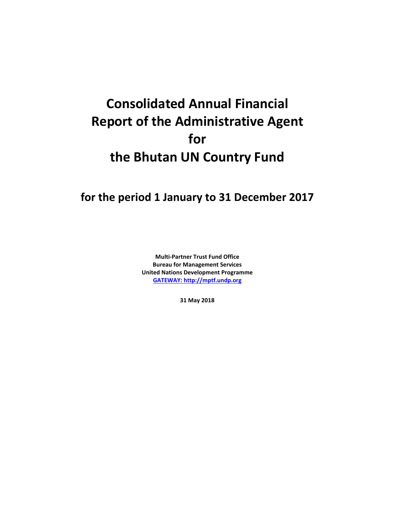# **Consolidated Annual Financial Report of the Administrative Agent for the Bhutan UN Country Fund**

## **for the period 1 January to 31 December 2017**

**Multi-Partner Trust Fund Office Bureau for Management Services United Nations Development Programme [GATEWAY: http://mptf.undp.org](http://mptf.undp.org/)**

**31 May 2018**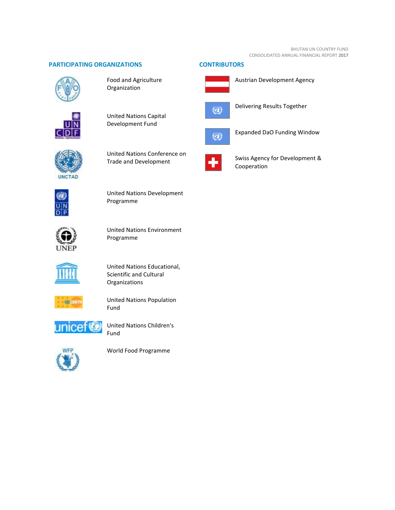#### **PARTICIPATING ORGANIZATIONS CONTRIBUTORS**



Food and Agriculture Organization



United Nations Capital Development Fund



United Nations Conference on Trade and Development



United Nations Development Programme



United Nations Environment Programme



United Nations Educational, Scientific and Cultural Organizations



United Nations Population Fund



United Nations Children's Fund



World Food Programme



Austrian Development Agency



Delivering Results Together



Expanded DaO Funding Window



Swiss Agency for Development & Cooperation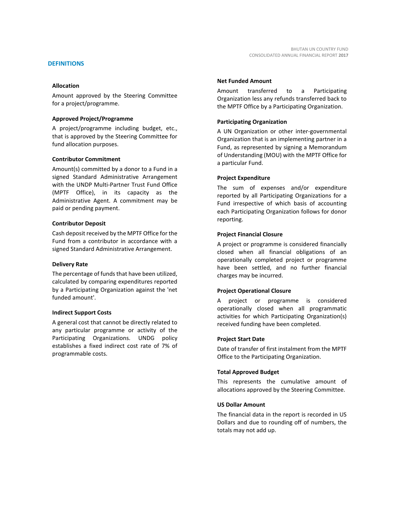Amount approved by the Steering Committee for a project/programme.

#### **Approved Project/Programme**

A project/programme including budget, etc., that is approved by the Steering Committee for fund allocation purposes.

#### **Contributor Commitment**

Amount(s) committed by a donor to a Fund in a signed Standard Administrative Arrangement with the UNDP Multi-Partner Trust Fund Office (MPTF Office), in its capacity as the Administrative Agent. A commitment may be paid or pending payment.

#### **Contributor Deposit**

Cash deposit received by the MPTF Office for the Fund from a contributor in accordance with a signed Standard Administrative Arrangement.

#### **Delivery Rate**

The percentage of funds that have been utilized, calculated by comparing expenditures reported by a Participating Organization against the 'net funded amount'.

#### **Indirect Support Costs**

A general cost that cannot be directly related to any particular programme or activity of the Participating Organizations. UNDG policy establishes a fixed indirect cost rate of 7% of programmable costs.

#### **Net Funded Amount**

Amount transferred to a Participating Organization less any refunds transferred back to the MPTF Office by a Participating Organization.

#### **Participating Organization**

A UN Organization or other inter-governmental Organization that is an implementing partner in a Fund, as represented by signing a Memorandum of Understanding (MOU) with the MPTF Office for a particular Fund.

#### **Project Expenditure**

The sum of expenses and/or expenditure reported by all Participating Organizations for a Fund irrespective of which basis of accounting each Participating Organization follows for donor reporting.

#### **Project Financial Closure**

A project or programme is considered financially closed when all financial obligations of an operationally completed project or programme have been settled, and no further financial charges may be incurred.

#### **Project Operational Closure**

A project or programme is considered operationally closed when all programmatic activities for which Participating Organization(s) received funding have been completed.

#### **Project Start Date**

Date of transfer of first instalment from the MPTF Office to the Participating Organization.

#### **Total Approved Budget**

This represents the cumulative amount of allocations approved by the Steering Committee.

#### **US Dollar Amount**

The financial data in the report is recorded in US Dollars and due to rounding off of numbers, the totals may not add up.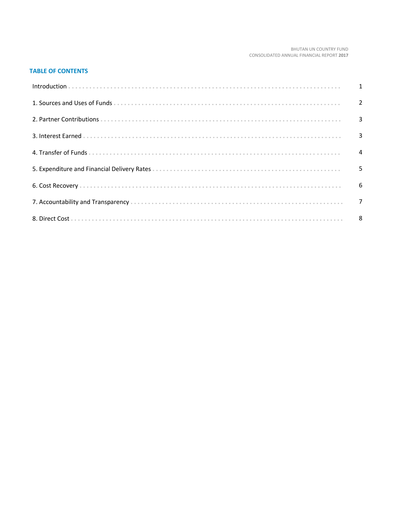#### BHUTAN UN COUNTRY FUND CONSOLIDATED ANNUAL FINANCIAL REPORT 2017

#### **TABLE OF CONTENTS**

| Introduction 1 1 |  |
|------------------|--|
|                  |  |
|                  |  |
|                  |  |
|                  |  |
|                  |  |
|                  |  |
|                  |  |
|                  |  |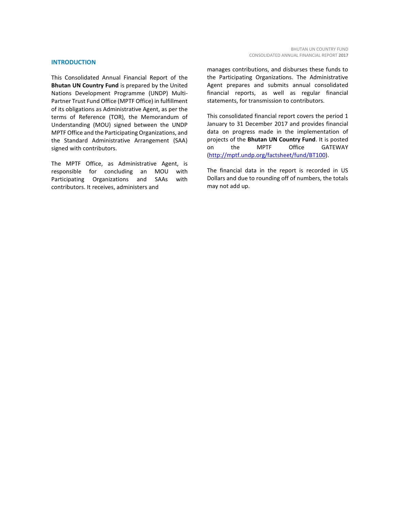#### **INTRODUCTION**

This Consolidated Annual Financial Report of the **Bhutan UN Country Fund** is prepared by the United Nations Development Programme (UNDP) Multi-Partner Trust Fund Office (MPTF Office) in fulfillment of its obligations as Administrative Agent, as per the terms of Reference (TOR), the Memorandum of Understanding (MOU) signed between the UNDP MPTF Office and the Participating Organizations, and the Standard Administrative Arrangement (SAA) signed with contributors.

The MPTF Office, as Administrative Agent, is responsible for concluding an MOU with Participating Organizations and SAAs with contributors. It receives, administers and

manages contributions, and disburses these funds to the Participating Organizations. The Administrative Agent prepares and submits annual consolidated financial reports, as well as regular financial statements, for transmission to contributors.

This consolidated financial report covers the period 1 January to 31 December 2017 and provides financial data on progress made in the implementation of projects of the **Bhutan UN Country Fund**. It is posted on the MPTF Office GATEWAY [\(http://mptf.undp.org/factsheet/fund/BT100\)](http://mptf.undp.org/factsheet/fund/BT100).

The financial data in the report is recorded in US Dollars and due to rounding off of numbers, the totals may not add up.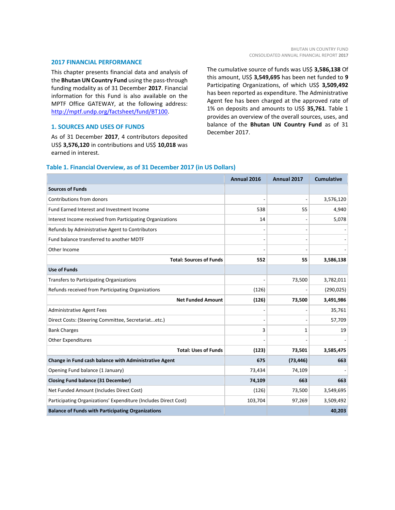#### **2017 FINANCIAL PERFORMANCE**

This chapter presents financial data and analysis of the **Bhutan UN Country Fund** using the pass-through funding modality as of 31 December **2017**. Financial information for this Fund is also available on the MPTF Office GATEWAY, at the following address: [http://mptf.undp.org/factsheet/fund/BT100.](http://mptf.undp.org/factsheet/fund/BT100)

#### **1. SOURCES AND USES OF FUNDS**

As of 31 December **2017**, 4 contributors deposited US\$ **3,576,120** in contributions and US\$ **10,018** was earned in interest.

The cumulative source of funds was US\$ **3,586,138** Of this amount, US\$ **3,549,695** has been net funded to **9** Participating Organizations, of which US\$ **3,509,492** has been reported as expenditure. The Administrative Agent fee has been charged at the approved rate of 1% on deposits and amounts to US\$ **35,761**. Table 1 provides an overview of the overall sources, uses, and balance of the **Bhutan UN Country Fund** as of 31 December 2017.

#### **Table 1. Financial Overview, as of 31 December 2017 (in US Dollars)**

|                                                                 | Annual 2016 | Annual 2017 | <b>Cumulative</b> |
|-----------------------------------------------------------------|-------------|-------------|-------------------|
| <b>Sources of Funds</b>                                         |             |             |                   |
| Contributions from donors                                       |             |             | 3,576,120         |
| Fund Earned Interest and Investment Income                      | 538         | 55          | 4,940             |
| Interest Income received from Participating Organizations       | 14          |             | 5,078             |
| Refunds by Administrative Agent to Contributors                 |             |             |                   |
| Fund balance transferred to another MDTF                        |             |             |                   |
| Other Income                                                    |             |             |                   |
| <b>Total: Sources of Funds</b>                                  | 552         | 55          | 3,586,138         |
| <b>Use of Funds</b>                                             |             |             |                   |
| Transfers to Participating Organizations                        |             | 73,500      | 3,782,011         |
| Refunds received from Participating Organizations               | (126)       |             | (290, 025)        |
| <b>Net Funded Amount</b>                                        | (126)       | 73,500      | 3,491,986         |
| <b>Administrative Agent Fees</b>                                |             |             | 35,761            |
| Direct Costs: (Steering Committee, Secretariatetc.)             |             |             | 57,709            |
| <b>Bank Charges</b>                                             | 3           | 1           | 19                |
| <b>Other Expenditures</b>                                       |             |             |                   |
| <b>Total: Uses of Funds</b>                                     | (123)       | 73,501      | 3,585,475         |
| Change in Fund cash balance with Administrative Agent           | 675         | (73, 446)   | 663               |
| Opening Fund balance (1 January)                                | 73,434      | 74,109      |                   |
| <b>Closing Fund balance (31 December)</b>                       | 74,109      | 663         | 663               |
| Net Funded Amount (Includes Direct Cost)                        | (126)       | 73,500      | 3,549,695         |
| Participating Organizations' Expenditure (Includes Direct Cost) | 103,704     | 97,269      | 3,509,492         |
| <b>Balance of Funds with Participating Organizations</b>        |             |             | 40,203            |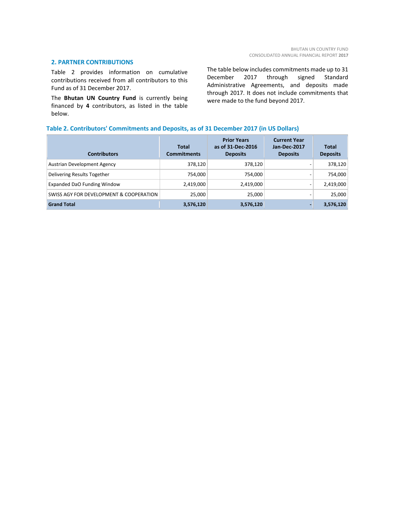#### **2. PARTNER CONTRIBUTIONS**

Table 2 provides information on cumulative contributions received from all contributors to this Fund as of 31 December 2017.

The **Bhutan UN Country Fund** is currently being financed by **4** contributors, as listed in the table below.

The table below includes commitments made up to 31 December 2017 through signed Standard Administrative Agreements, and deposits made through 2017. It does not include commitments that were made to the fund beyond 2017.

#### **Table 2. Contributors' Commitments and Deposits, as of 31 December 2017 (in US Dollars)**

| <b>Contributors</b>                     | Total<br><b>Commitments</b> | <b>Prior Years</b><br>as of 31-Dec-2016<br><b>Deposits</b> | <b>Current Year</b><br>Jan-Dec-2017<br><b>Deposits</b> | <b>Total</b><br><b>Deposits</b> |
|-----------------------------------------|-----------------------------|------------------------------------------------------------|--------------------------------------------------------|---------------------------------|
| Austrian Development Agency             | 378,120                     | 378,120                                                    |                                                        | 378,120                         |
| Delivering Results Together             | 754,000                     | 754,000                                                    |                                                        | 754,000                         |
| Expanded DaO Funding Window             | 2,419,000                   | 2,419,000                                                  | $\qquad \qquad$                                        | 2,419,000                       |
| SWISS AGY FOR DEVELOPMENT & COOPERATION | 25,000                      | 25,000                                                     |                                                        | 25,000                          |
| <b>Grand Total</b>                      | 3,576,120                   | 3,576,120                                                  | $\overline{\phantom{0}}$                               | 3,576,120                       |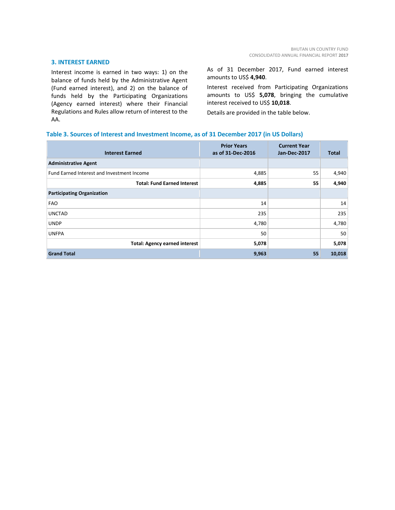#### **3. INTEREST EARNED**

Interest income is earned in two ways: 1) on the balance of funds held by the Administrative Agent (Fund earned interest), and 2) on the balance of funds held by the Participating Organizations (Agency earned interest) where their Financial Regulations and Rules allow return of interest to the AA.

As of 31 December 2017, Fund earned interest amounts to US\$ **4,940**.

Interest received from Participating Organizations amounts to US\$ **5,078**, bringing the cumulative interest received to US\$ **10,018**.

Details are provided in the table below.

#### **Table 3. Sources of Interest and Investment Income, as of 31 December 2017 (in US Dollars)**

| <b>Interest Earned</b>                     | <b>Prior Years</b><br>as of 31-Dec-2016 | <b>Current Year</b><br>Jan-Dec-2017 | Total  |
|--------------------------------------------|-----------------------------------------|-------------------------------------|--------|
| <b>Administrative Agent</b>                |                                         |                                     |        |
| Fund Earned Interest and Investment Income | 4,885                                   | 55                                  | 4,940  |
| <b>Total: Fund Earned Interest</b>         | 4,885                                   | 55                                  | 4,940  |
| <b>Participating Organization</b>          |                                         |                                     |        |
| <b>FAO</b>                                 | 14                                      |                                     | 14     |
| <b>UNCTAD</b>                              | 235                                     |                                     | 235    |
| <b>UNDP</b>                                | 4,780                                   |                                     | 4,780  |
| <b>UNFPA</b>                               | 50                                      |                                     | 50     |
| <b>Total: Agency earned interest</b>       | 5,078                                   |                                     | 5,078  |
| <b>Grand Total</b>                         | 9,963                                   | 55                                  | 10,018 |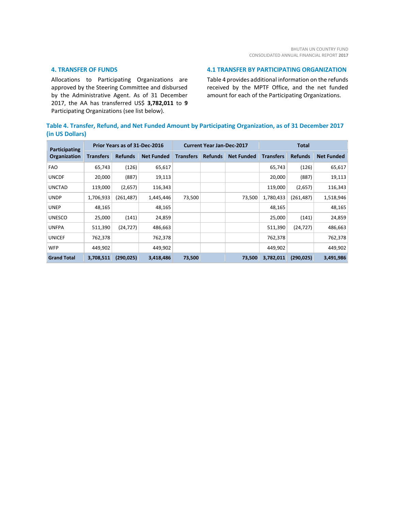#### **4. TRANSFER OF FUNDS**

Allocations to Participating Organizations are approved by the Steering Committee and disbursed by the Administrative Agent. As of 31 December 2017, the AA has transferred US\$ **3,782,011** to **9** Participating Organizations (see list below).

#### **4.1 TRANSFER BY PARTICIPATING ORGANIZATION**

Table 4 provides additional information on the refunds received by the MPTF Office, and the net funded amount for each of the Participating Organizations.

#### **Table 4. Transfer, Refund, and Net Funded Amount by Participating Organization, as of 31 December 2017 (in US Dollars)**

| <b>Participating</b> |                  | Prior Years as of 31-Dec-2016 |                   |                  | <b>Current Year Jan-Dec-2017</b> |                   | <b>Total</b>     |                |                   |  |
|----------------------|------------------|-------------------------------|-------------------|------------------|----------------------------------|-------------------|------------------|----------------|-------------------|--|
| Organization         | <b>Transfers</b> | <b>Refunds</b>                | <b>Net Funded</b> | <b>Transfers</b> | <b>Refunds</b>                   | <b>Net Funded</b> | <b>Transfers</b> | <b>Refunds</b> | <b>Net Funded</b> |  |
| <b>FAO</b>           | 65,743           | (126)                         | 65,617            |                  |                                  |                   | 65,743           | (126)          | 65,617            |  |
| <b>UNCDF</b>         | 20,000           | (887)                         | 19,113            |                  |                                  |                   | 20,000           | (887)          | 19,113            |  |
| <b>UNCTAD</b>        | 119,000          | (2,657)                       | 116,343           |                  |                                  |                   | 119,000          | (2,657)        | 116,343           |  |
| <b>UNDP</b>          | 1,706,933        | (261, 487)                    | 1,445,446         | 73,500           |                                  | 73,500            | 1,780,433        | (261,487)      | 1,518,946         |  |
| <b>UNEP</b>          | 48,165           |                               | 48,165            |                  |                                  |                   | 48,165           |                | 48,165            |  |
| <b>UNESCO</b>        | 25,000           | (141)                         | 24,859            |                  |                                  |                   | 25,000           | (141)          | 24,859            |  |
| <b>UNFPA</b>         | 511,390          | (24, 727)                     | 486,663           |                  |                                  |                   | 511,390          | (24, 727)      | 486,663           |  |
| <b>UNICEF</b>        | 762,378          |                               | 762,378           |                  |                                  |                   | 762,378          |                | 762,378           |  |
| <b>WFP</b>           | 449,902          |                               | 449,902           |                  |                                  |                   | 449,902          |                | 449,902           |  |
| <b>Grand Total</b>   | 3,708,511        | (290, 025)                    | 3,418,486         | 73,500           |                                  | 73,500            | 3,782,011        | (290, 025)     | 3,491,986         |  |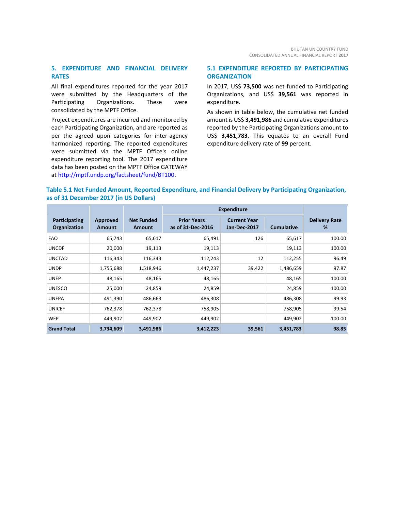#### **5. EXPENDITURE AND FINANCIAL DELIVERY RATES**

All final expenditures reported for the year 2017 were submitted by the Headquarters of the Participating Organizations. These were consolidated by the MPTF Office.

Project expenditures are incurred and monitored by each Participating Organization, and are reported as per the agreed upon categories for inter-agency harmonized reporting. The reported expenditures were submitted via the MPTF Office's online expenditure reporting tool. The 2017 expenditure data has been posted on the MPTF Office GATEWAY at [http://mptf.undp.org/factsheet/fund/BT100.](http://mptf.undp.org/factsheet/fund/BT100)

#### **5.1 EXPENDITURE REPORTED BY PARTICIPATING ORGANIZATION**

In 2017, US\$ **73,500** was net funded to Participating Organizations, and US\$ **39,561** was reported in expenditure.

As shown in table below, the cumulative net funded amount is US\$ **3,491,986** and cumulative expenditures reported by the Participating Organizations amount to US\$ **3,451,783**. This equates to an overall Fund expenditure delivery rate of **99** percent.

#### **Table 5.1 Net Funded Amount, Reported Expenditure, and Financial Delivery by Participating Organization, as of 31 December 2017 (in US Dollars)**

|                               |                           |                                    | <b>Expenditure</b>                      |                                     |                   |                           |
|-------------------------------|---------------------------|------------------------------------|-----------------------------------------|-------------------------------------|-------------------|---------------------------|
| Participating<br>Organization | Approved<br><b>Amount</b> | <b>Net Funded</b><br><b>Amount</b> | <b>Prior Years</b><br>as of 31-Dec-2016 | <b>Current Year</b><br>Jan-Dec-2017 | <b>Cumulative</b> | <b>Delivery Rate</b><br>% |
| <b>FAO</b>                    | 65,743                    | 65,617                             | 65,491                                  | 126                                 | 65,617            | 100.00                    |
| <b>UNCDF</b>                  | 20,000                    | 19,113                             | 19,113                                  |                                     | 19,113            | 100.00                    |
| <b>UNCTAD</b>                 | 116,343                   | 116,343                            | 112,243                                 | 12                                  | 112,255           | 96.49                     |
| <b>UNDP</b>                   | 1,755,688                 | 1,518,946                          | 1,447,237                               | 39,422                              | 1,486,659         | 97.87                     |
| <b>UNEP</b>                   | 48,165                    | 48,165                             | 48,165                                  |                                     | 48,165            | 100.00                    |
| <b>UNESCO</b>                 | 25,000                    | 24,859                             | 24,859                                  |                                     | 24,859            | 100.00                    |
| <b>UNFPA</b>                  | 491,390                   | 486,663                            | 486,308                                 |                                     | 486,308           | 99.93                     |
| <b>UNICEF</b>                 | 762,378                   | 762,378                            | 758,905                                 |                                     | 758,905           | 99.54                     |
| <b>WFP</b>                    | 449,902                   | 449,902                            | 449,902                                 |                                     | 449,902           | 100.00                    |
| <b>Grand Total</b>            | 3,734,609                 | 3,491,986                          | 3,412,223                               | 39,561                              | 3,451,783         | 98.85                     |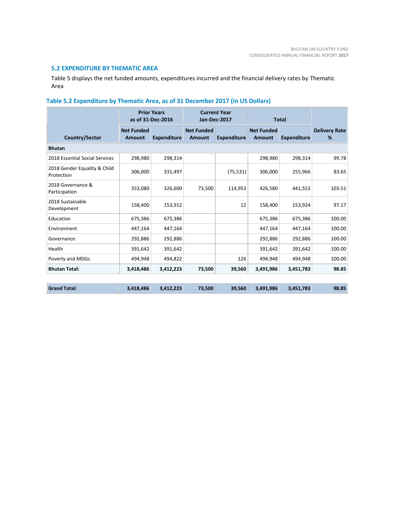#### **5.2 EXPENDITURE BY THEMATIC AREA**

Table 5 displays the net funded amounts, expenditures incurred and the financial delivery rates by Thematic Area

### **Table 5.2 Expenditure by Thematic Area, as of 31 December 2017 (in US Dollars)**

|                                            |                             | <b>Prior Years</b><br>as of 31-Dec-2016 | <b>Current Year</b><br>Jan-Dec-2017 |                    | <b>Total</b>                       |                    |                           |
|--------------------------------------------|-----------------------------|-----------------------------------------|-------------------------------------|--------------------|------------------------------------|--------------------|---------------------------|
| <b>Country/Sector</b>                      | <b>Net Funded</b><br>Amount | <b>Expenditure</b>                      | <b>Net Funded</b><br>Amount         | <b>Expenditure</b> | <b>Net Funded</b><br><b>Amount</b> | <b>Expenditure</b> | <b>Delivery Rate</b><br>% |
| <b>Bhutan</b>                              |                             |                                         |                                     |                    |                                    |                    |                           |
| 2018 Essential Social Services             | 298,980                     | 298,314                                 |                                     |                    | 298,980                            | 298,314            | 99.78                     |
| 2018 Gender Equality & Child<br>Protection | 306,000                     | 331,497                                 |                                     | (75, 531)          | 306,000                            | 255,966            | 83.65                     |
| 2018 Governance &<br>Participation         | 353,080                     | 326,600                                 | 73,500                              | 114,953            | 426,580                            | 441,553            | 103.51                    |
| 2018 Sustainable<br>Development            | 158,400                     | 153,912                                 |                                     | 12                 | 158,400                            | 153,924            | 97.17                     |
| Education                                  | 675,386                     | 675,386                                 |                                     |                    | 675,386                            | 675,386            | 100.00                    |
| Environment                                | 447,164                     | 447,164                                 |                                     |                    | 447,164                            | 447,164            | 100.00                    |
| Governance                                 | 292,886                     | 292,886                                 |                                     |                    | 292,886                            | 292,886            | 100.00                    |
| Health                                     | 391,642                     | 391,642                                 |                                     |                    | 391,642                            | 391,642            | 100.00                    |
| Poverty and MDGs                           | 494,948                     | 494,822                                 |                                     | 126                | 494,948                            | 494,948            | 100.00                    |
| <b>Bhutan Total:</b>                       | 3,418,486                   | 3,412,223                               | 73,500                              | 39,560             | 3,491,986                          | 3,451,783          | 98.85                     |
| <b>Grand Total:</b>                        | 3,418,486                   | 3,412,223                               | 73,500                              | 39,560             | 3,491,986                          | 3,451,783          | 98.85                     |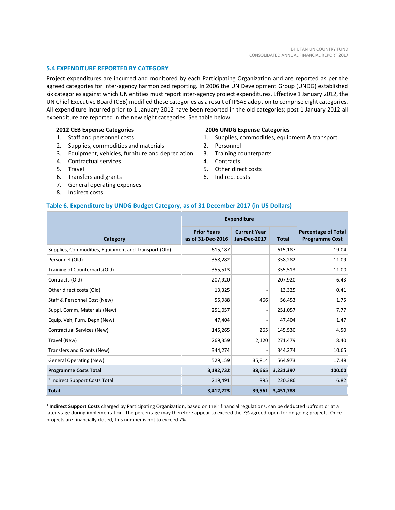#### **5.4 EXPENDITURE REPORTED BY CATEGORY**

Project expenditures are incurred and monitored by each Participating Organization and are reported as per the agreed categories for inter-agency harmonized reporting. In 2006 the UN Development Group (UNDG) established six categories against which UN entities must report inter-agency project expenditures. Effective 1 January 2012, the UN Chief Executive Board (CEB) modified these categories as a result of IPSAS adoption to comprise eight categories. All expenditure incurred prior to 1 January 2012 have been reported in the old categories; post 1 January 2012 all expenditure are reported in the new eight categories. See table below.

#### **2012 CEB Expense Categories**

- 1. Staff and personnel costs
- 2. Supplies, commodities and materials
- 3. Equipment, vehicles, furniture and depreciation
- 4. Contractual services
- 5. Travel
- 6. Transfers and grants
- 7. General operating expenses
- 8. Indirect costs

\_\_\_\_\_\_\_\_\_\_\_\_\_\_\_\_\_\_\_\_\_\_

#### **2006 UNDG Expense Categories**

- 1. Supplies, commodities, equipment & transport
- 2. Personnel
- 3. Training counterparts
- 4. Contracts
- 5. Other direct costs
- 6. Indirect costs

#### **Table 6. Expenditure by UNDG Budget Category, as of 31 December 2017 (in US Dollars)**

|                                                      | <b>Expenditure</b>                      |                                     |              |                                                     |
|------------------------------------------------------|-----------------------------------------|-------------------------------------|--------------|-----------------------------------------------------|
| Category                                             | <b>Prior Years</b><br>as of 31-Dec-2016 | <b>Current Year</b><br>Jan-Dec-2017 | <b>Total</b> | <b>Percentage of Total</b><br><b>Programme Cost</b> |
| Supplies, Commodities, Equipment and Transport (Old) | 615,187                                 | $\overline{\phantom{a}}$            | 615,187      | 19.04                                               |
| Personnel (Old)                                      | 358,282                                 | $\overline{\phantom{a}}$            | 358,282      | 11.09                                               |
| Training of Counterparts(Old)                        | 355,513                                 | $\overline{\phantom{0}}$            | 355,513      | 11.00                                               |
| Contracts (Old)                                      | 207,920                                 | $\overline{a}$                      | 207,920      | 6.43                                                |
| Other direct costs (Old)                             | 13,325                                  | $\overline{a}$                      | 13,325       | 0.41                                                |
| Staff & Personnel Cost (New)                         | 55,988                                  | 466                                 | 56,453       | 1.75                                                |
| Suppl, Comm, Materials (New)                         | 251,057                                 | $\overline{\phantom{a}}$            | 251,057      | 7.77                                                |
| Equip, Veh, Furn, Depn (New)                         | 47,404                                  | $\overline{a}$                      | 47,404       | 1.47                                                |
| Contractual Services (New)                           | 145,265                                 | 265                                 | 145,530      | 4.50                                                |
| Travel (New)                                         | 269,359                                 | 2,120                               | 271,479      | 8.40                                                |
| Transfers and Grants (New)                           | 344,274                                 | $\overline{a}$                      | 344,274      | 10.65                                               |
| <b>General Operating (New)</b>                       | 529,159                                 | 35,814                              | 564,973      | 17.48                                               |
| <b>Programme Costs Total</b>                         | 3,192,732                               | 38,665                              | 3,231,397    | 100.00                                              |
| <sup>1</sup> Indirect Support Costs Total            | 219,491                                 | 895                                 | 220,386      | 6.82                                                |
| <b>Total</b>                                         | 3,412,223                               | 39,561                              | 3,451,783    |                                                     |

**1 Indirect Support Costs** charged by Participating Organization, based on their financial regulations, can be deducted upfront or at a later stage during implementation. The percentage may therefore appear to exceed the 7% agreed-upon for on-going projects. Once projects are financially closed, this number is not to exceed 7%.